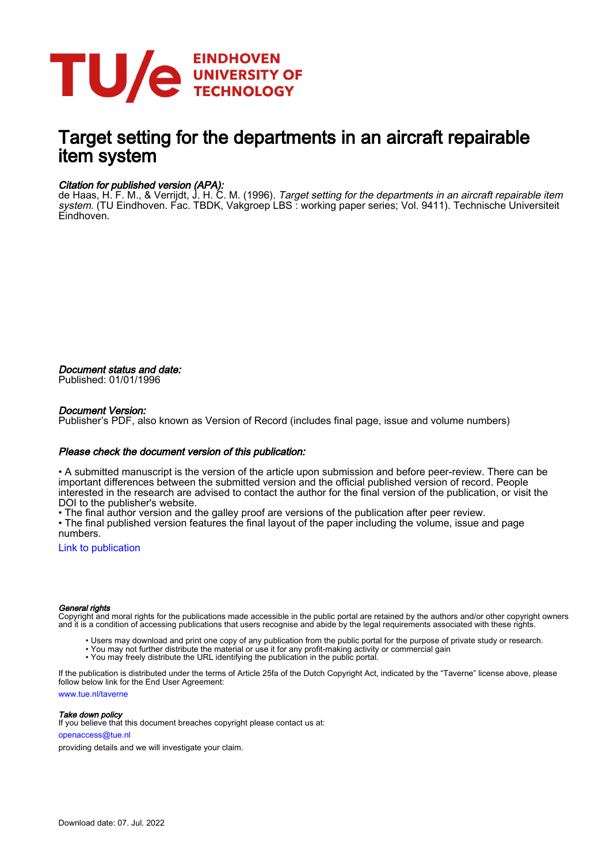

# Target setting for the departments in an aircraft repairable item system

# Citation for published version (APA):

de Haas, H. F. M., & Verrijdt, J. H. C. M. (1996). *Target setting for the departments in an aircraft repairable item* system. (TU Eindhoven. Fac. TBDK, Vakgroep LBS : working paper series; Vol. 9411). Technische Universiteit Eindhoven.

Document status and date: Published: 01/01/1996

# Document Version:

Publisher's PDF, also known as Version of Record (includes final page, issue and volume numbers)

### Please check the document version of this publication:

• A submitted manuscript is the version of the article upon submission and before peer-review. There can be important differences between the submitted version and the official published version of record. People interested in the research are advised to contact the author for the final version of the publication, or visit the DOI to the publisher's website.

• The final author version and the galley proof are versions of the publication after peer review.

• The final published version features the final layout of the paper including the volume, issue and page numbers.

[Link to publication](https://research.tue.nl/en/publications/56801978-7bfa-40ea-9563-0f8f203ec2ee)

#### General rights

Copyright and moral rights for the publications made accessible in the public portal are retained by the authors and/or other copyright owners and it is a condition of accessing publications that users recognise and abide by the legal requirements associated with these rights.

- Users may download and print one copy of any publication from the public portal for the purpose of private study or research.
- You may not further distribute the material or use it for any profit-making activity or commercial gain
- You may freely distribute the URL identifying the publication in the public portal.

If the publication is distributed under the terms of Article 25fa of the Dutch Copyright Act, indicated by the "Taverne" license above, please follow below link for the End User Agreement:

www.tue.nl/taverne

**Take down policy**<br>If you believe that this document breaches copyright please contact us at:

openaccess@tue.nl

providing details and we will investigate your claim.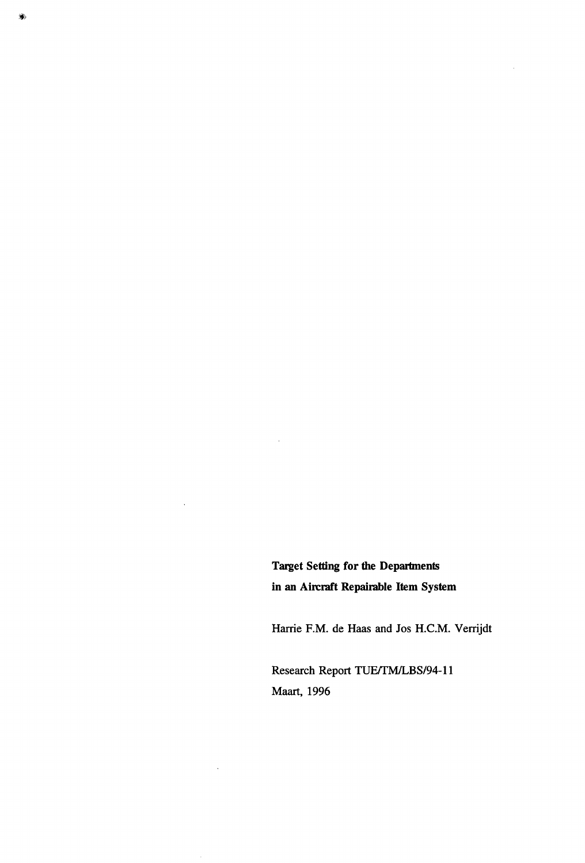Target Setting for the Departments in an Aircraft Repairable Item System

Harrie F.M. de Haas and Jos H.C.M. Verrijdt

Research Report TUE/TM/LBS/94-11 Maart, 1996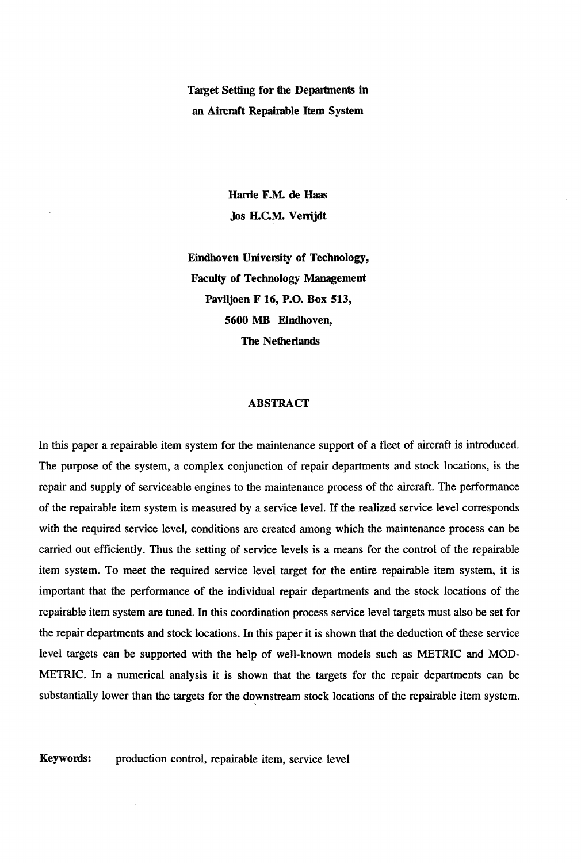Target Setting for the Departments in an Airemft Repaimhle Item System

> Harrie F.M. de Haas los H.C.M. Venijdt

Eindhoven University of Technology, Faculty of Technology Management Paviljoen F 16, P.O. Box 513, 5600 MB Eindhoven, The Netherlands

# **ABSTRACT**

In this paper a repairable item system for the maintenance support of a fleet of aircraft is introduced. The purpose of the system, a complex conjunction of repair departments and stock locations. is the repair and supply of serviceable engines to the maintenance process of the aircraft. The performance of the repairable item system is measured by a service level. If the realized service level corresponds with the required service level, conditions are created among which the maintenance process can be carried out efficiently. Thus the setting of service levels is a means for the control of the repairable item system. To meet the required service level target for the entire repairable item system, it is important that the performance of the individual repair departments and the stock locations of the repairable item system are tuned. In this coordination process service level targets must also be set for the repair departments and stock locations. In this paper it is shown that the deduction of these service level targets can be supported with the help of well-known models such as METRIC and MOD-METRIC. In a numerical analysis it is shown that the targets for the repair departments can be substantially lower than the targets for the downstream stock locations of the repairable item system.

Keywords: production control, repairable item, service level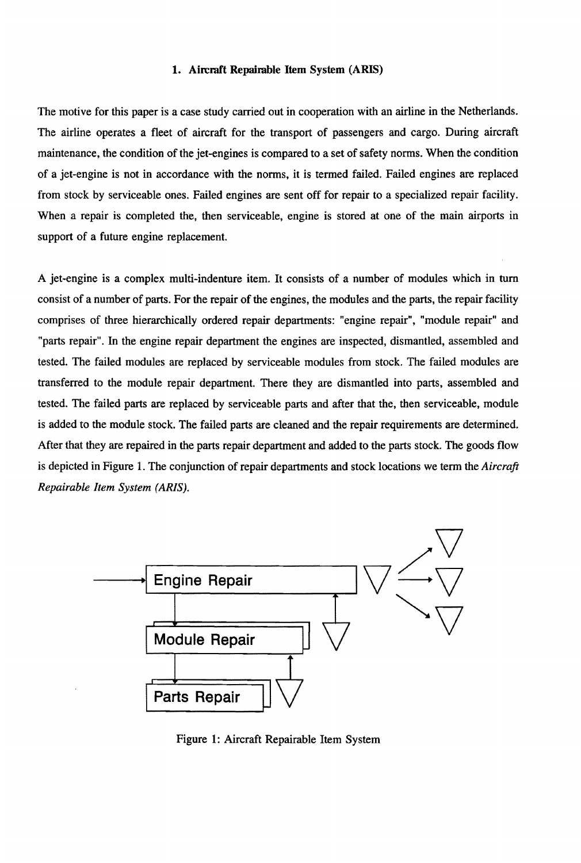# 1. Aircraft Repairable Item System (ARIS)

The motive for this paper is a case study carried out in cooperation with an airline in the Netherlands. The airline operates a fleet of aircraft for the transport of passengers and cargo. During aircraft maintenance, the condition of the jet-engines is compared to a set of safety norms. When the condition of a jet-engine is not in accordance with the norms, it is termed failed. Failed engines are replaced from stock by serviceable ones. Failed engines are sent off for repair to a specialized repair facility. When a repair is completed the, then serviceable, engine is stored at one of the main airports in support of a future engine replacement.

A jet-engine is a complex multi-indenture item. It consists of a number of modules which in turn consist of a number of parts. For the repair of the engines, the modules and the parts, the repair facility comprises of three hierarchically ordered repair departments: "engine repair", "module repair" and "parts repair". In the engine repair department the engines are inspected, dismantled, assembled and tested. The failed modules are replaced by serviceable modules from stock. The failed modules are transferred to the module repair department. There they are dismantled into parts, assembled and tested. The failed parts are replaced by serviceable parts and after that the, then serviceable, module is added to the module stock. The failed parts are cleaned and the repair requirements are determined. After that they are repaired in the parts repair department and added to the parts stock. The goods flow is depicted in Figure 1. The conjunction of repair departments and stock locations we term the *Aircraft Repairable Item System (ARTS).* 



Figure 1: Aircraft Repairable Item System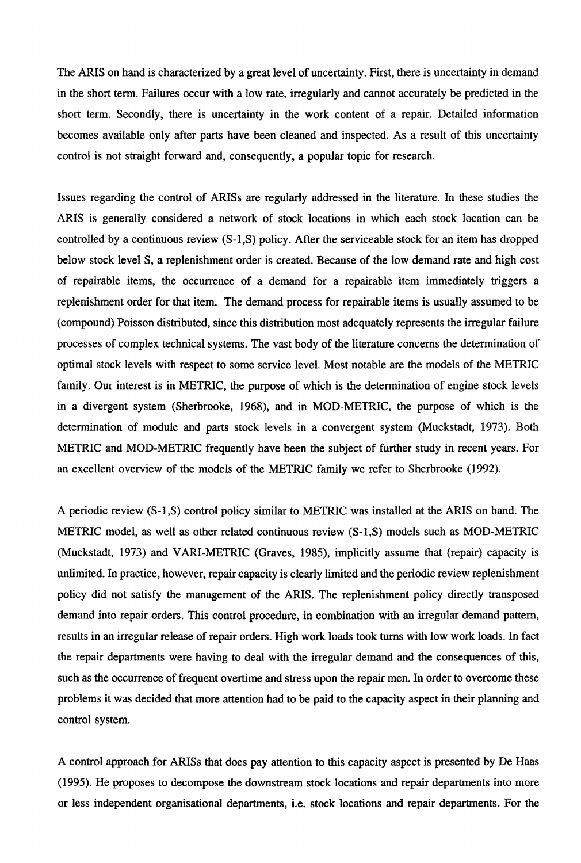The ARIS on hand is characterized by a great level of uncertainty. First, there is uncertainty in demand in the short term. Failures occur with a low rate, irregularly and cannot accurately be predicted in the short term. Secondly, there is uncertainty in the work content of a repair. Detailed information becomes available only after parts have been cleaned and inspected. As a result of this uncertainty control is not straight forward and, consequently, a popular topic for research.

Issues regarding the control of ARISs are regularly addressed in the literature. In these studies the ARIS is generally considered a network of stock locations in which each stock location can be controlled by a continuous review (S-I,S) policy. After the serviceable stock for an item has dropped below stock level S, a replenishment order is created. Because of the low demand rate and high cost of repairable items, the occurrence of a demand for a repairable item immediately triggers a replenishment order for that item. The demand process for repairable items is usually assumed to be (compound) Poisson distributed, since this distribution most adequately represents the irregular failure processes of complex technical systems. The vast body of the literature concerns the determination of optimal stock levels with respect to some service level. Most notable are the models of the METRIC family. Our interest is in METRIC, the purpose of which is the determination of engine stock levels in a divergent system (Sherbrooke, 1968), and in MOD-METRIC, the purpose of which is the determination of module and parts stock levels in a convergent system (Muckstadt, 1973). Both METRIC and MOD-METRIC frequently have been the subject of further study in recent years. For an excellent overview of the models of the METRIC family we refer to Sherbrooke (1992).

A periodic review (S-I,S) control policy similar to METRIC was installed at the ARIS on hand. The METRIC model, as well as other related continuous review (S-I,S) models such as MOD-METRIC (Muckstadt, 1973) and VARI-METRIC (Graves, 1985), implicitly assume that (repair) capacity is unlimited. In practice, however, repair capacity is clearly limited and the periodic review replenishment policy did not satisfy the management of the ARIS. The replenishment policy directly transposed demand into repair orders. This control procedure, in combination with an irregular demand pattern, results in an irregular release of repair orders. High work loads took turns with low work loads. In fact the repair departments were having to deal with the irregular demand and the consequences of this, such as the occurrence of frequent overtime and stress upon the repair men. In order to overcome these problems it was decided that more attention had to be paid to the capacity aspect in their planning and control system.

A control approach for ARISs that does pay attention to this capacity aspect is presented by De Haas (1995). He proposes to decompose the downstream stock locations and repair departments into more or less independent organisational departments, i.e. stock locations and repair departments. For the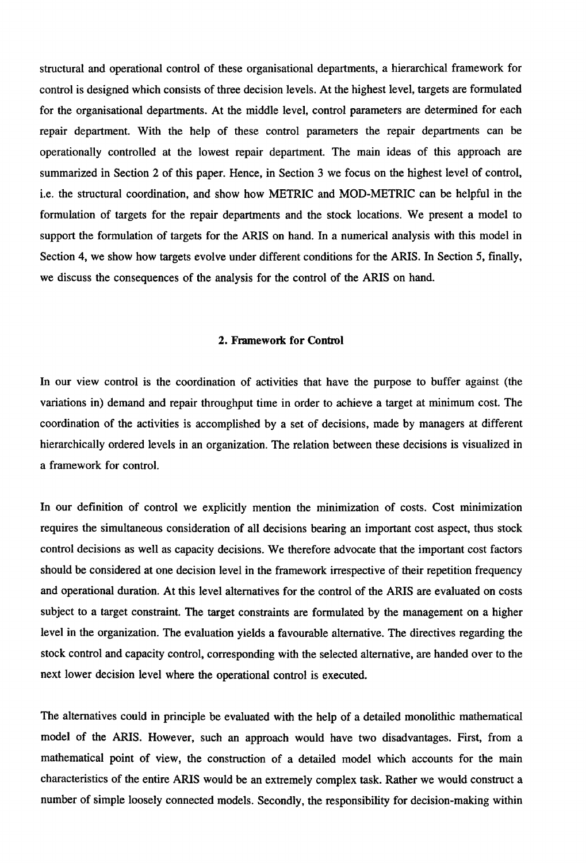structural and operational control of these organisational departments, a hierarchical framework for control is designed which consists of three decision levels. At the highest level, targets are formulated for the organisational departments. At the middle level, control parameters are determined for each repair department. With the help of these control parameters the repair departments can be operationally controlled at the lowest repair department. The main ideas of this approach are summarized in Section 2 of this paper. Hence, in Section 3 we focus on the highest level of control, i.e. the structural coordination, and show how METRIC and MOD-METRIC can be helpful in the formulation of targets for the repair departments and the stock locations. We present a model to support the formulation of targets for the ARIS on hand. In a numerical analysis with this model in Section 4, we show how targets evolve under different conditions for the ARIS. In Section 5, finally, we discuss the consequences of the analysis for the control of the ARIS on hand.

# 2. Framework **for** Control

In our view control is the coordination of activities that have the purpose to buffer against (the variations in) demand and repair throughput time in order to achieve a target at minimum cost. The coordination of the activities is accomplished by a set of decisions, made by managers at different hierarchically ordered levels in an organization. The relation between these decisions is visualized in a framework for control.

In our definition of control we explicitly mention the minimization of costs. Cost minimization requires the simultaneous consideration of all decisions bearing an important cost aspect, thus stock control decisions as well as capacity decisions. We therefore advocate that the important cost factors should be considered at one decision level in the framework irrespective of their repetition frequency and operational duration. At this level alternatives for the control of the ARIS are evaluated on costs subject to a target constraint. The target constraints are formulated by the management on a higher level in the organization. The evaluation yields a favourable alternative. The directives regarding the stock control and capacity control, corresponding with the selected alternative, are handed over to the next lower decision level where the operational control is executed.

The alternatives could in principle be evaluated with the help of a detailed monolithic mathematical model of the ARIS. However, such an approach would have two disadvantages. First, from a mathematical point of view, the construction of a detailed model which accounts for the main characteristics of the entire ARIS would be an extremely complex task. Rather we would construct a number of simple loosely connected models. Secondly, the responsibility for decision-making within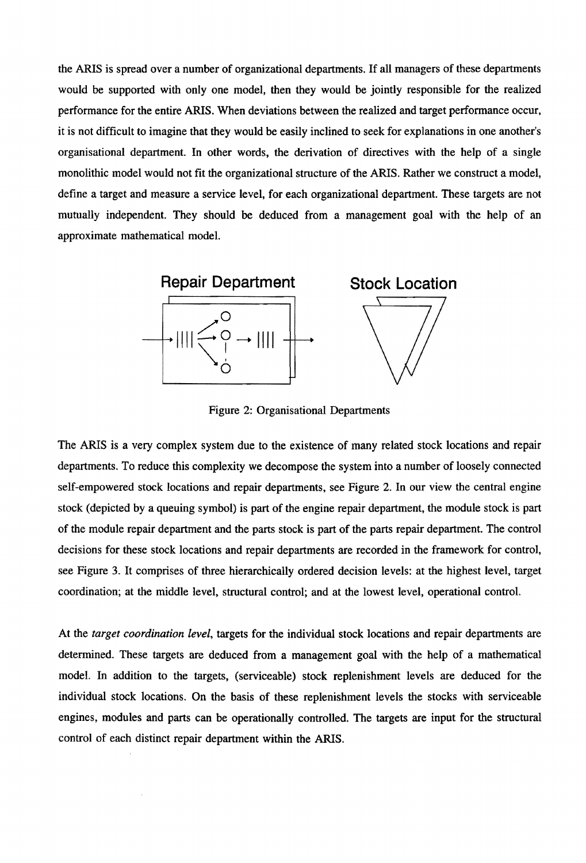the ARIS is spread over a number of organizational departments. If all managers of these departments would be supported with only one model, then they would be jointly responsible for the realized performance for the entire ARIS. When deviations between the realized and target performance occur, it is not difficult to imagine that they would be easily inclined to seek for explanations in one another's organisational department. In other words, the derivation of directives with the help of a single monolithic model would not fit the organizational structure of the ARIS. Rather we construct a model, define a target and measure a service level, for each organizational department. These targets are not mutually independent. They should be deduced from a management goal with the help of an approximate mathematical model.



Figure 2: Organisational Departments

The ARIS is a very complex system due to the existence of many related stock locations and repair departments. To reduce this complexity we decompose the system into a number of loosely connected self-empowered stock locations and repair departments, see Figure 2. In our view the central engine stock (depicted by a queuing symbol) is part of the engine repair department, the module stock is part of the module repair department and the parts stock is part of the parts repair department. The control decisions for these stock locations and repair departments are recorded in the framework for control, see Figure 3. It comprises of three hierarchically ordered decision levels: at the highest level, target coordination; at the middle level, structural control; and at the lowest level, operational control.

At the *target coordination level,* targets for the individual stock locations and repair departments are determined. These targets are deduced from a management goal with the help of a mathematical modeL In addition to the targets, (serviceable) stock replenishment levels are deduced for the individual stock locations. On the basis of these replenishment levels the stocks with serviceable engines, modules and parts can be operationally controlled. The targets are input for the structural control of each distinct repair department within the ARIS.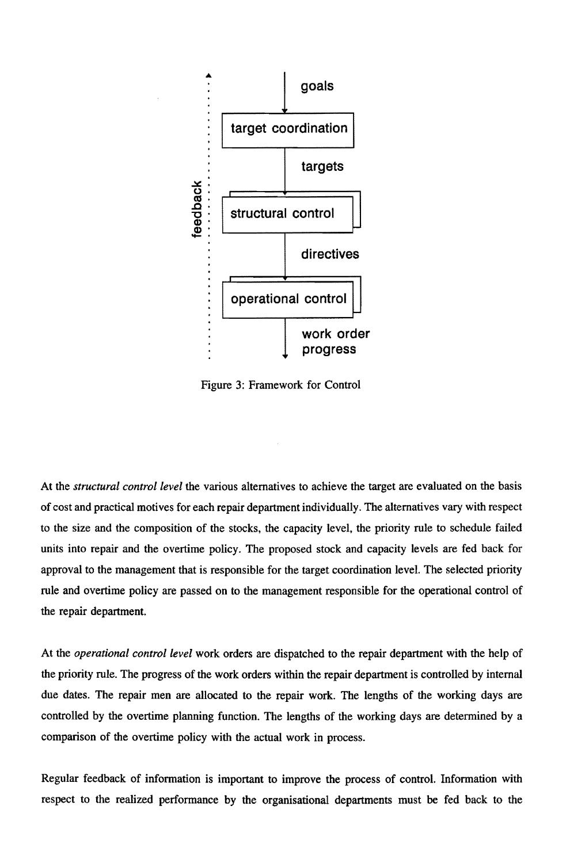

Figure 3: Framework for Control

At the *structural control level* the various alternatives to achieve the target are evaluated on the basis of cost and practical motives for each repair department individually. The alternatives vary with respect to the size and the composition of the stocks, the capacity level, the priority rule to schedule failed units into repair and the overtime policy. The proposed stock and capacity levels are fed back for approval to the management that is responsible for the target coordination level. The selected priority rule and overtime policy are passed on to the management responsible for the operational control of the repair department.

At the *operational control level* work orders are dispatched to the repair department with the help of the priority rule. The progress of the work orders within the repair department is controlled by internal due dates. The repair men are allocated to the repair work. The lengths of the working days are controlled by the overtime planning function. The lengths of the working days are determined by a comparison of the overtime policy with the actual work in process.

Regular feedback of information is important to improve the process of control. Information with respect to the realized performance by the organisational departments must be fed back to the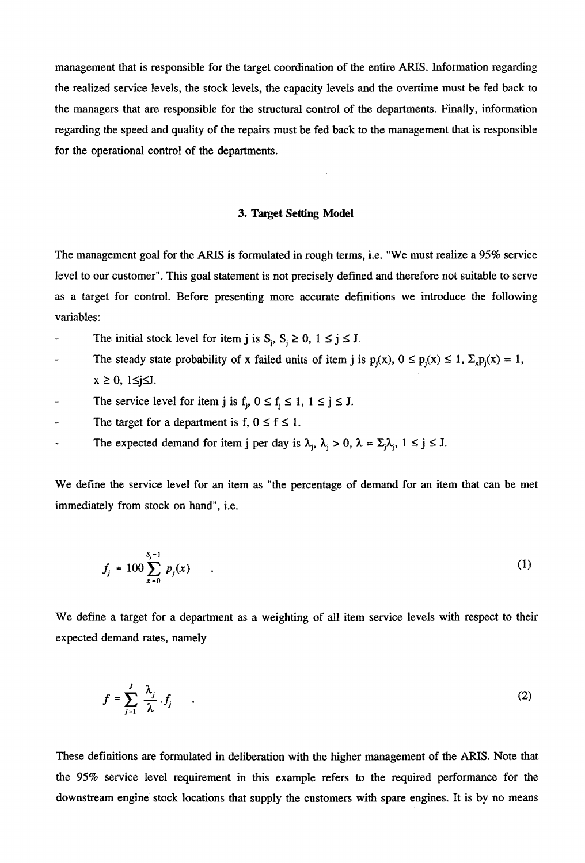management that is responsible for the target coordination of the entire ARIS. Information regarding the realized service levels, the stock levels, the capacity levels and the overtime must be fed back to the managers that are responsible for the structural control of the departments. Finally, information regarding the speed and quality of the repairs must be fed back to the management that is responsible for the operational control of the departments.

#### **3. Target Setting Model**

The management goal for the ARIS is formulated in rough terms, i.e. "We must realize a 95% service level to our customer". This goal statement is not precisely defined and therefore not suitable to serve as a target for control. Before presenting more accurate definitions we introduce the following variables:

- The initial stock level for item j is  $S_i$ ,  $S_i \ge 0$ ,  $1 \le j \le J$ .
- The steady state probability of x failed units of item j is  $p_i(x)$ ,  $0 \le p_i(x) \le 1$ ,  $\Sigma_x p_i(x) = 1$ ,  $x \geq 0$ ,  $1 \leq j \leq J$ .
- The service level for item j is  $f_i$ ,  $0 \le f_i \le 1$ ,  $1 \le j \le J$ .
- The target for a department is f,  $0 \le f \le 1$ .
- The expected demand for item j per day is  $\lambda_j$ ,  $\lambda_j > 0$ ,  $\lambda = \sum_j \lambda_j$ ,  $1 \le j \le J$ .

We define the service level for an item as "the percentage of demand for an item that can be met immediately from stock on hand", i.e.

$$
f_j = 100 \sum_{x=0}^{S_j - 1} p_j(x) \tag{1}
$$

We define a target for a department as a weighting of all item service levels with respect to their expected demand rates, namely

$$
f = \sum_{j=1}^{J} \frac{\lambda_j}{\lambda} \cdot f_j \tag{2}
$$

These definitions are formulated in deliberation with the higher management of the ARIS. Note that the 95% service level requirement in this example refers to the required performance for the downstream engine stock locations that supply the customers with spare engines. It is by no means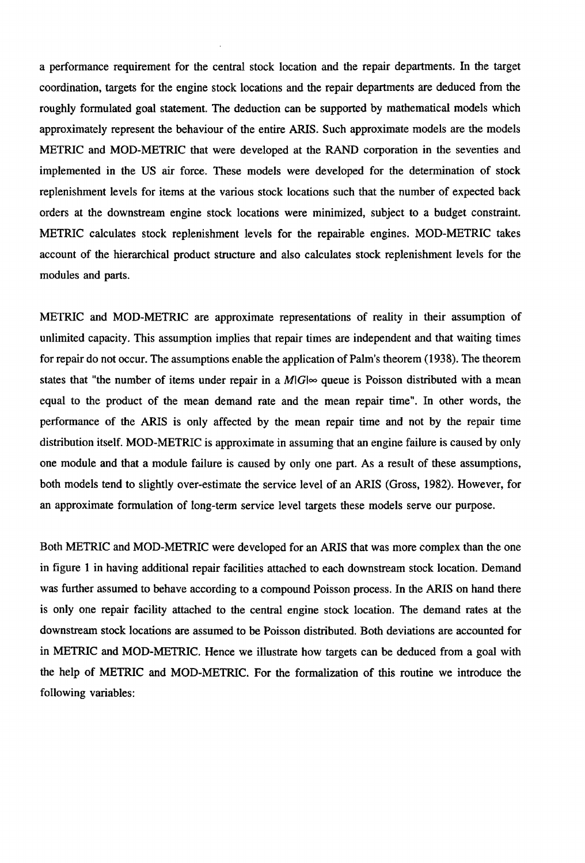a performance requirement for the central stock location and the repair departments. In the target coordination, targets for the engine stock locations and the repair departments are deduced from the roughly formulated goal statement. The deduction can be supported by mathematical models which approximately represent the behaviour of the entire ARIS. Such approximate models are the models METRIC and MOD-METRIC that were developed at the RAND corporation in the seventies and implemented in the US air force. These models were developed for the determination of stock replenishment levels for items at the various stock locations such that the number of expected back orders at the downstream engine stock locations were minimized, subject to a budget constraint. METRIC calculates stock replenishment levels for the repairable engines. MOD-METRIC takes account of the hierarchical product structure and also calculates stock replenishment levels for the modules and parts.

METRIC and MOD-METRIC are approximate representations of reality in their assumption of unlimited capacity. This assumption implies that repair times are independent and that waiting times for repair do not occur. The assumptions enable the application of Palm's theorem (1938). The theorem states that "the number of items under repair in a  $M|G|_{\infty}$  queue is Poisson distributed with a mean equal to the product of the mean demand rate and the mean repair time". In other words, the performance of the ARIS is only affected by the mean repair time and not by the repair time distribution itself. MOD-METRIC is approximate in assuming that an engine failure is caused by only one module and that a module failure is caused by only one part. As a result of these assumptions, both models tend to slightly over-estimate the service level of an ARIS (Gross, 1982). However, for an approximate formulation of long-term service level targets these models serve our purpose.

Both METRIC and MOD-METRIC were developed for an ARIS that was more complex than the one in figure 1 in having additional repair facilities attached to each downstream stock location. Demand was further assumed to behave according to a compound Poisson process. In the ARIS on hand there is only one repair facility attached to the central engine stock location. The demand rates at the downstream stock locations are assumed to be Poisson distributed. Both deviations are accounted for in METRIC and MOD-METRIC. Hence we illustrate how targets can be deduced from a goal with the help of METRIC and MOD-METRIC. For the formalization of this routine we introduce the following variables: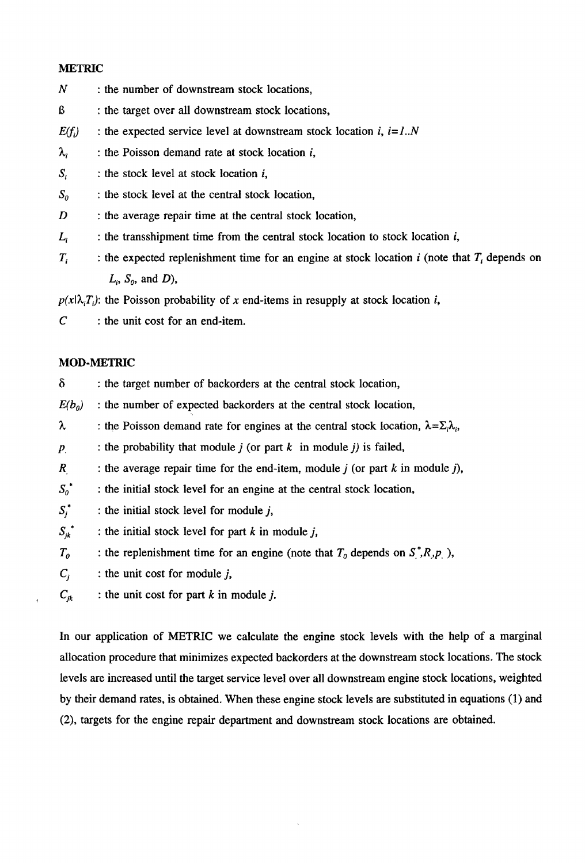#### METRIC

| Ν |  |  |  |  | : the number of downstream stock locations, |  |  |
|---|--|--|--|--|---------------------------------------------|--|--|
|---|--|--|--|--|---------------------------------------------|--|--|

- *B* : the target over all downstream stock locations,
- $E(f_i)$  : the expected service level at downstream stock location i,  $i = 1..N$
- $\lambda_i$  : the Poisson demand rate at stock location *i*,
- $S_i$  : the stock level at stock location i,
- $S_0$  : the stock level at the central stock location,
- $D$  : the average repair time at the central stock location,
- $L_i$  : the transshipment time from the central stock location to stock location i,
- $T_i$  : the expected replenishment time for an engine at stock location *i* (note that  $T_i$  depends on *L;, So,* and *D),*

 $p(x|\lambda_i T_i)$ : the Poisson probability of x end-items in resupply at stock location i,

 $C \t$ : the unit cost for an end-item.

### MOD-METRIC

- $\delta$  : the target number of backorders at the central stock location,
- $E(b_0)$  : the number of expected backorders at the central stock location,
- $\lambda$  : the Poisson demand rate for engines at the central stock location,  $\lambda = \Sigma \lambda_i$ ,
- *P.* : the probability that module j (or part *k* in module j) is failed,
- *R* : the average repair time for the end-item, module *i* (or part *k* in module *i*),
- $S_0^*$  : the initial stock level for an engine at the central stock location,
- $S_i^*$  : the initial stock level for module j,
- $S_{ik}^*$  : the initial stock level for part *k* in module *j*,
- $T_o$  : the replenishment time for an engine (note that  $T_o$  depends on  $S^*$ ,  $R, p$ ),
- $C_i$  : the unit cost for module j,
- $C_{ik}$  : the unit cost for part *k* in module *j*.

In our application of METRIC we calculate the engine stock levels with the help of a marginal allocation procedure that minimizes expected backorders at the downstream stock locations. The stock levels are increased until the target service level over all downstream engine stock locations, weighted by their demand rates, is obtained. When these engine stock levels are substituted in equations (1) and (2), targets for the engine repair department and downstream stock locations are obtained.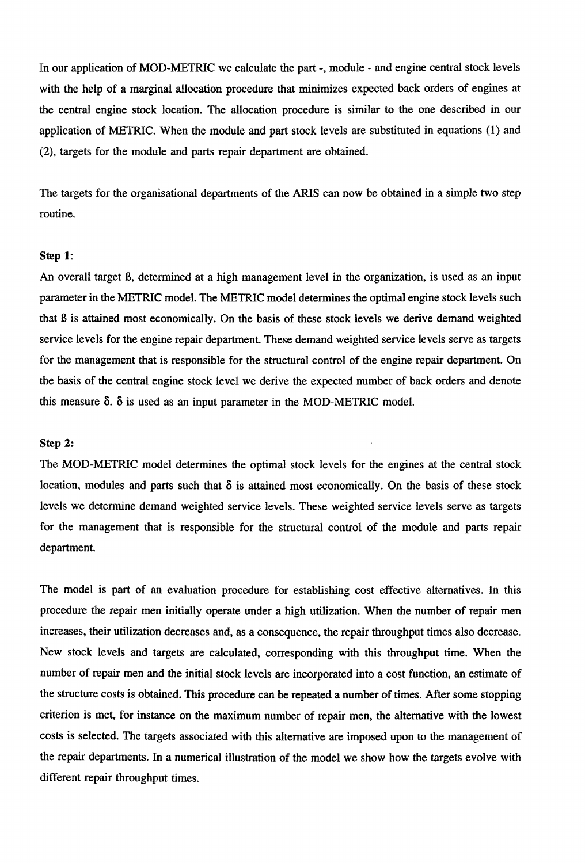In our application of MOD-METRIC we calculate the part -, module - and engine central stock levels with the help of a marginal allocation procedure that minimizes expected back orders of engines at the central engine stock location. The allocation procedure is similar to the one described in our application of METRIC. When the module and part stock levels are substituted in equations (1) and (2), targets for the module and parts repair department are obtained.

The targets for the organisational departments of the ARIS can now be obtained in a simple two step routine.

# Step 1:

An overall target 8, determined at a high management level in the organization, is used as an input parameter in the METRIC model. The METRIC model determines the optimal engine stock levels such that 8 is attained most economically. On the basis of these stock levels we derive demand weighted service levels for the engine repair department. These demand weighted service levels serve as targets for the management that is responsible for the structural control of the engine repair department. On the basis of the central engine stock level we derive the expected number of back orders and denote this measure  $\delta$ .  $\delta$  is used as an input parameter in the MOD-METRIC model.

# Step 2:

The MOD-METRIC model determines the optimal stock levels for the engines at the central stock location, modules and parts such that  $\delta$  is attained most economically. On the basis of these stock levels we determine demand weighted service levels. These weighted service levels serve as targets for the management that is responsible for the structural control of the module and parts repair department.

The model is part of an evaluation procedure for establishing cost effective alternatives. In this procedure the repair men initially operate under a high utilization. When the number of repair men increases, their utilization decreases and, as a consequence, the repair throughput times also decrease. New stock levels and targets are calculated, corresponding with this throughput time. When the number of repair men and the initial stock levels are incorporated into a cost function, an estimate of the structure costs is obtained. This procedure can be repeated a number of times. Mter some stopping criterion is met, for instance on the maximum number of repair men, the alternative with the lowest costs is selected. The targets associated with this alternative are imposed upon to the management of the repair departments. In a numerical illustration of the model we show how the targets evolve with different repair throughput times.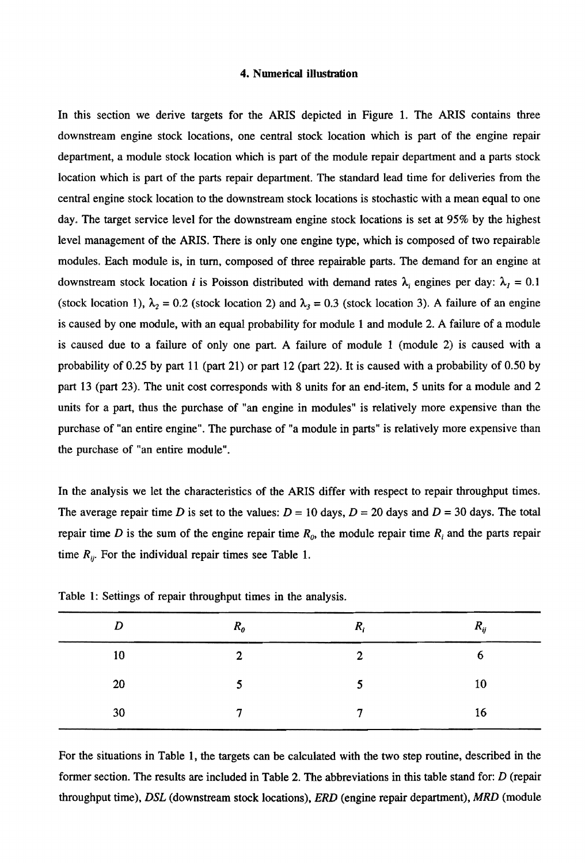# **4. Numerlcal illustration**

In this section we derive targets for the ARIS depicted in Figure 1. The ARIS contains three downstream engine stock locations, one central stock location which is part of the engine repair department, a module stock location which is part of the module repair department and a parts stock location which is part of the parts repair department. The standard lead time for deliveries from the central engine stock location to the downstream stock locations is stochastic with a mean equal to one day. The target service level for the downstream engine stock locations is set at 95% by the highest level management of the ARIS. There is only one engine type, which is composed of two repairable modules. Each module is, in tum, composed of three repairable parts. The demand for an engine at downstream stock location *i* is Poisson distributed with demand rates  $\lambda_i$  engines per day:  $\lambda_i = 0.1$ (stock location 1),  $\lambda_2 = 0.2$  (stock location 2) and  $\lambda_3 = 0.3$  (stock location 3). A failure of an engine is caused by one module, with an equal probability for module 1 and module 2. A failure of a module is caused due to a failure of only one part. A failure of module 1 (module 2) is caused with a probability of 0.25 by part 11 (part 21) or part 12 (part 22). It is caused with a probability of 0.50 by part 13 (part 23). The unit cost corresponds with 8 units for an end-item, 5 units for a module and 2 units for a part, thus the purchase of "an engine in modules" is relatively more expensive than the purchase of "an entire engine". The purchase of "a module in parts" is relatively more expensive than the purchase of "an entire module".

In the analysis we let the characteristics of the ARIS differ with respect to repair throughput times. The average repair time D is set to the values:  $D = 10$  days,  $D = 20$  days and  $D = 30$  days. The total repair time *D* is the sum of the engine repair time  $R_0$ , the module repair time  $R_i$  and the parts repair time  $R_{ij}$ . For the individual repair times see Table 1.

| $\boldsymbol{D}$ | $R_o$          | $R_i$          | $R_{ij}$ |
|------------------|----------------|----------------|----------|
| 10               | $\overline{2}$ | $\overline{2}$ | O        |
| 20               | 5              | 5              | 10       |
| 30               | 7              | 7              | 16       |

Table 1: Settings of repair throughput times in the analysis.

For the situations in Table 1, the targets can be calculated with the two step routine, described in the former section. The results are included in Table 2. The abbreviations **in** this table stand for: D (repair throughput time), *DSL* (downstream stock locations), *ERD* (engine repair department), *MRD* (module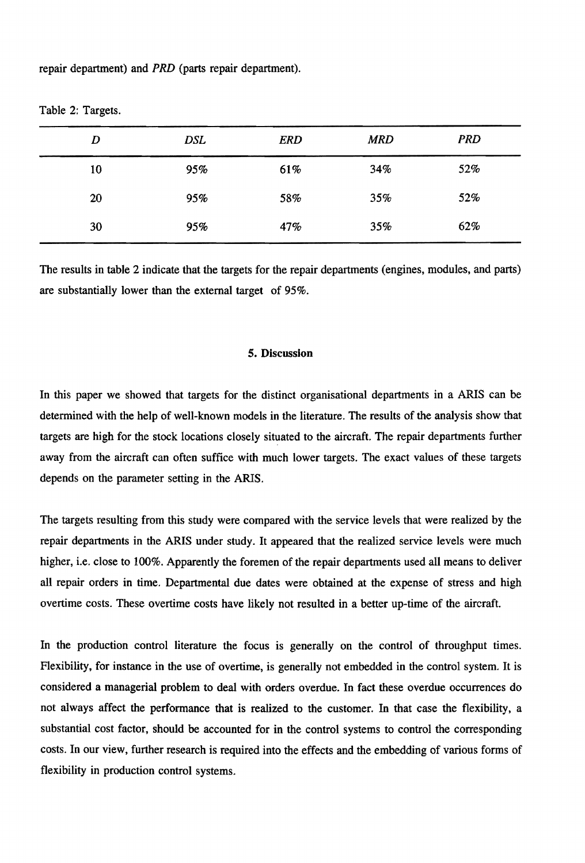repair department) and *PRD* (parts repair department).

|  |  | Table 2: Targets. |  |
|--|--|-------------------|--|
|--|--|-------------------|--|

| D  | <b>DSL</b> | <b>ERD</b> | <b>MRD</b> | <b>PRD</b> |
|----|------------|------------|------------|------------|
| 10 | 95%        | 61%        | 34%        | 52%        |
| 20 | 95%        | 58%        | 35%        | 52%        |
| 30 | 95%        | 47%        | 35%        | 62%        |

The results in table 2 indicate that the targets for the repair departments (engines, modules, and parts) are substantially lower than the external target of 95%.

# S. Discussion

In this paper we showed that targets for the distinct organisational departments in a ARIS can be determined with the help of well-known models in the literature. The results of the analysis show that targets are high for the stock locations closely situated to the aircraft. The repair departments further away from the aircraft can often suffice with much lower targets. The exact values of these targets depends on the parameter setting in the ARIS.

The targets resulting from this study were compared with the service levels that were realized by the repair departments in the ARIS under study. It appeared that the realized service levels were much higher, i.e. close to 100%. Apparently the foremen of the repair departments used all means to deliver all repair orders in time. Departmental due dates were obtained at the expense of stress and high overtime costs. These overtime costs have likely not resulted in a better up-time of the aircraft.

In the production control literature the focus is generally on the control of throughput times. Flexibility, for instance in the use of overtime, is generally not embedded in the control system. It is considered a managerial problem to deal with orders overdue. In fact these overdue occurrences do not always affect the performance that is realized to the customer. In that case the flexibility, a substantial cost factor, should be accounted for in the control systems to control the corresponding costs. In our view, further research is required into the effects and the embedding of various forms of flexibility in production control systems.